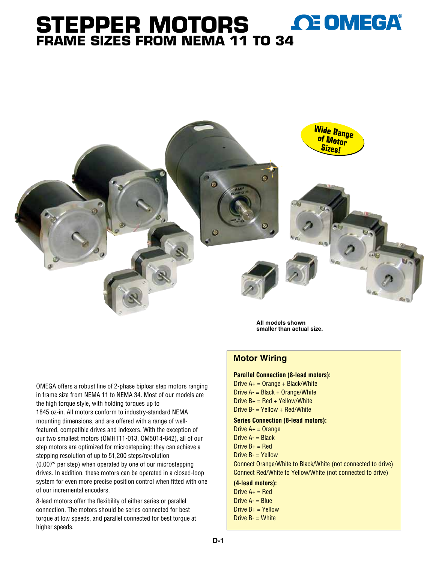# **OE OMEGA® Stepper Motors Frame Sizes From NEMA 11 to [34](www.omega.com)**



**All models shown smaller than actual size.**

### **Motor Wiring**

#### **Parallel Connection (8-lead motors):**  Drive  $A_+$  = Orange + Black/White

Drive A- = Black + Orange/White Drive  $B_+$  = Red + Yellow/White Drive B- = Yellow + Red/White

#### **Series Connection (8-lead motors):**

Drive  $A<sub>+</sub>$  = Orange Drive  $A - B$ lack Drive  $B_+$  = Red Drive B- = Yellow Connect Orange/White to Black/White (not connected to drive) Connect Red/White to Yellow/White (not connected to drive) **(4-lead motors):** 

Drive  $A_+$  = Red Drive  $A - B$ lue Drive  $B_+$  = Yellow Drive B- = White

OMEGA offers a robust line of 2-phase biploar step motors ranging in frame size from NEMA 11 to NEMA 34. Most of our models are the high torque style, with holding torques up to 1845 oz-in. All motors conform to industry-standard NEMA mounting dimensions, and are offered with a range of wellfeatured, compatible drives and indexers. With the exception of our two smallest motors (OMHT11-013, OM5014-842), all of our step motors are optimized for microstepping: they can achieve a stepping resolution of up to 51,200 steps/revolution (0.007° per step) when operated by one of our microstepping drives. In addition, these motors can be operated in a closed-loop system for even more precise position control when fitted with one of our incremental encoders.

8-lead motors offer the flexibility of either series or parallel connection. The motors should be series connected for best torque at low speeds, and parallel connected for best torque at higher speeds.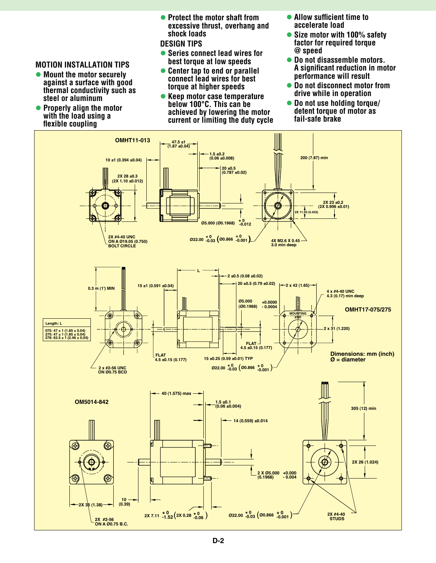#### **MOTION INSTALLATION TIPS**

- **Mount the motor securely against a surface with good thermal conductivity such as steel or aluminum**
- **Properly align the motor with the load using a flexible coupling**

**• Protect the motor shaft from excessive thrust, overhang and shock loads**

**DESIGN TIPS**

- l **Series connect lead wires for best torque at low speeds**
- **Center tap to end or parallel connect lead wires for best torque at higher speeds**
- **Keep motor case temperature below 100°C. This can be achieved by lowering the motor current or limiting the duty cycle**
- **Allow sufficient time to accelerate load**
- **Size motor with 100% safety factor for required torque @ speed**
- **Do not disassemble motors. A significant reduction in motor performance will result**
- **Do not disconnect motor from drive while in operation**
- l **Do not use holding torque/ detent torque of motor as fail-safe brake**

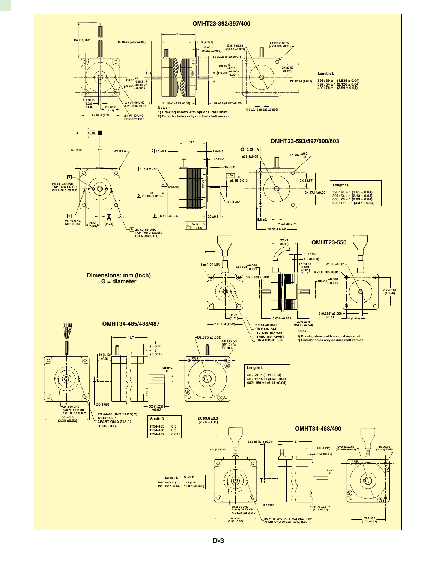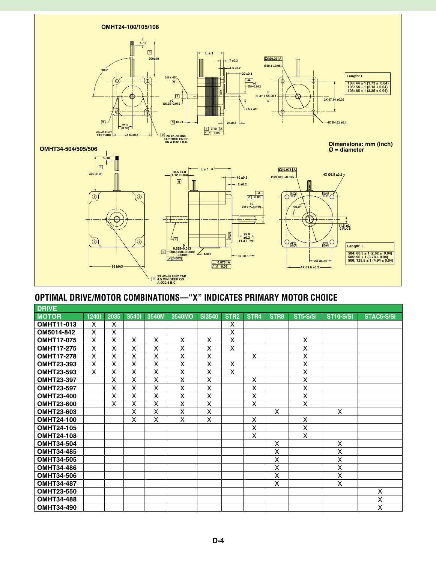

# **Optimal Drive/Motor Combinations—"X" indicates primary motor choice**

| <b>DRIVE</b>      |       |      |       |                         |        |                         |                  |                           |                  |                         |                  |            |
|-------------------|-------|------|-------|-------------------------|--------|-------------------------|------------------|---------------------------|------------------|-------------------------|------------------|------------|
| <b>MOTOR</b>      | 12401 | 2035 | 35401 | 3540M                   | 3540MO | <b>SI3540</b>           | STR <sub>2</sub> | STR4                      | STR <sub>8</sub> | ST5-S/Si                | <b>ST10-S/SI</b> | STAC6-S/Si |
| <b>OMHT11-013</b> | X     | X    |       |                         |        |                         | X                |                           |                  |                         |                  |            |
| OM5014-842        | X     | X    |       |                         |        |                         | X                |                           |                  |                         |                  |            |
| <b>OMHT17-075</b> | X     | X    | X     | X                       | X      | X                       | X                |                           |                  | X                       |                  |            |
| <b>OMHT17-275</b> | X     | X    | X     | X                       | X      | X                       | X                |                           |                  | X                       |                  |            |
| <b>OMHT17-278</b> | X     | X    | X     | X                       | X      | Χ                       |                  | X                         |                  | X                       |                  |            |
| <b>OMHT23-393</b> | X     | X    | X     | $\overline{\mathsf{x}}$ | X      | $\overline{\mathsf{x}}$ | X                |                           |                  | $\overline{\mathsf{x}}$ |                  |            |
| <b>OMHT23-593</b> | X     | X    | X     | X                       | X      | X                       | X                |                           |                  | X                       |                  |            |
| <b>OMHT23-397</b> |       | X    | X     | $\overline{x}$          | X      | $\overline{\mathsf{x}}$ |                  | X                         |                  | X                       |                  |            |
| <b>OMHT23-597</b> |       | X    | X     | $\mathsf{X}$            | X      | X                       |                  | X                         |                  | X                       |                  |            |
| <b>OMHT23-400</b> |       | X    | X     | X                       | X      | X                       |                  | X                         |                  | X                       |                  |            |
| <b>OMHT23-600</b> |       | X    | X     | X                       | X      | Χ                       |                  | X                         |                  | X                       |                  |            |
| <b>OMHT23-603</b> |       |      | X     | X                       | X      | X                       |                  |                           | X                |                         | X                |            |
| <b>OMHT24-100</b> |       |      | X     | X                       | X      | X                       |                  | X                         |                  | X                       |                  |            |
| <b>OMHT24-105</b> |       |      |       |                         |        |                         |                  | X                         |                  | X                       |                  |            |
| <b>OMHT24-108</b> |       |      |       |                         |        |                         |                  | $\boldsymbol{\mathsf{X}}$ |                  | X                       |                  |            |
| <b>OMHT34-504</b> |       |      |       |                         |        |                         |                  |                           | X                |                         | Χ                |            |
| <b>OMHT34-485</b> |       |      |       |                         |        |                         |                  |                           | X                |                         | X                |            |
| <b>OMHT34-505</b> |       |      |       |                         |        |                         |                  |                           | X                |                         | X                |            |
| <b>OMHT34-486</b> |       |      |       |                         |        |                         |                  |                           | X                |                         | X                |            |
| <b>OMHT34-506</b> |       |      |       |                         |        |                         |                  |                           | X                |                         | Χ                |            |
| <b>OMHT34-487</b> |       |      |       |                         |        |                         |                  |                           | X                |                         | X                |            |
| <b>OMHT23-550</b> |       |      |       |                         |        |                         |                  |                           |                  |                         |                  | X          |
| <b>OMHT34-488</b> |       |      |       |                         |        |                         |                  |                           |                  |                         |                  | X          |
| <b>OMHT34-490</b> |       |      |       |                         |        |                         |                  |                           |                  |                         |                  | X          |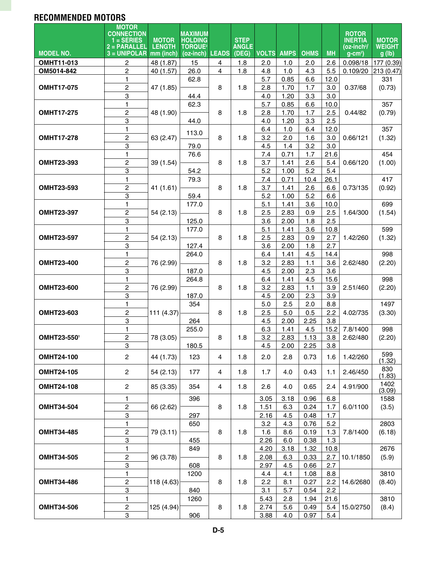# **recommended Motors**

| <b>MODEL NO.</b>  | <b>MOTOR</b><br><b>CONNECTION</b><br>$=$ SERIES<br>$2 = PARALLEL$<br>$3 = UNIPOLAR$ | <b>MOTOR</b><br><b>LENGTH</b><br>mm (inch) | <b>MAXIMUM</b><br><b>HOLDING</b><br><b>TORQUE<sup>2</sup></b><br>(oz-inch) | <b>LEADS</b>   | <b>STEP</b><br><b>ANGLE</b><br>(DEG) |      | <b>VOLTS AMPS</b> | <b>OHMS</b> | <b>MH</b> | <b>ROTOR</b><br><b>INERTIA</b><br>(oz-inch?/<br>$g$ -cm <sup>2</sup> ) | <b>MOTOR</b><br><b>WEIGHT</b><br>g(h) |
|-------------------|-------------------------------------------------------------------------------------|--------------------------------------------|----------------------------------------------------------------------------|----------------|--------------------------------------|------|-------------------|-------------|-----------|------------------------------------------------------------------------|---------------------------------------|
| <b>OMHT11-013</b> | $\overline{c}$                                                                      | 48 (1.87)                                  | 15                                                                         | 4              | 1.8                                  | 2.0  | 1.0               | 2.0         | 2.6       | 0.098/18                                                               | 177 (0.39)                            |
| OM5014-842        | $\overline{c}$                                                                      | 40 (1.57)                                  | 26.0                                                                       | 4              | 1.8                                  | 4.8  | 1.0               | 4.3         | 5.5       | 0.109/20                                                               | 213 (0.47)                            |
|                   | 1                                                                                   |                                            | 62.8                                                                       |                |                                      | 5.7  | 0.85              | 6.6         | 12.0      |                                                                        | 331                                   |
| <b>OMHT17-075</b> | $\boldsymbol{2}$                                                                    | 47 (1.85)                                  |                                                                            | 8              | 1.8                                  | 2.8  | 1.70              | 1.7         | 3.0       | 0.37/68                                                                | (0.73)                                |
|                   | 3                                                                                   |                                            | 44.4                                                                       |                |                                      | 4.0  | 1.20              | 3.3         | 3.0       |                                                                        |                                       |
|                   | $\mathbf{1}$                                                                        |                                            | 62.3                                                                       |                |                                      | 5.7  | 0.85              | 6.6         | 10.0      |                                                                        | 357                                   |
| <b>OMHT17-275</b> | $\mathbf 2$                                                                         | 48 (1.90)                                  |                                                                            | 8              | 1.8                                  | 2.8  | 1.70              | 1.7         | 2.5       | 0.44/82                                                                | (0.79)                                |
|                   | $\overline{3}$                                                                      |                                            | 44.0                                                                       |                |                                      | 4.0  | 1.20              | 3.3         | 2.5       |                                                                        |                                       |
|                   | $\mathbf{1}$                                                                        |                                            |                                                                            |                |                                      | 6.4  | 1.0               | 6.4         | 12.0      |                                                                        | 357                                   |
| <b>OMHT17-278</b> | $\overline{c}$                                                                      | 63 (2.47)                                  | 113.0                                                                      | 8              | 1.8                                  | 3.2  | 2.0               | 1.6         | 3.0       | 0.66/121                                                               | (1.32)                                |
|                   | $\overline{3}$                                                                      |                                            | 79.0                                                                       |                |                                      | 4.5  | 1.4               | 3.2         | 3.0       |                                                                        |                                       |
|                   | 1                                                                                   |                                            | 76.6                                                                       |                |                                      | 7.4  | 0.71              | 1.7         | 21.6      |                                                                        | 454                                   |
| <b>OMHT23-393</b> | $\overline{2}$                                                                      | 39 (1.54)                                  |                                                                            | 8              | 1.8                                  | 3.7  | 1.41              | 2.6         | 5.4       | 0.66/120                                                               | (1.00)                                |
|                   | 3                                                                                   |                                            | 54.2                                                                       |                |                                      | 5.2  | 1.00              | 5.2         | 5.4       |                                                                        |                                       |
|                   | 1                                                                                   |                                            | 79.3                                                                       |                |                                      | 7.4  | 0.71              | 10.4        | 26.1      |                                                                        | 417                                   |
| <b>OMHT23-593</b> | $\boldsymbol{2}$                                                                    | 41(1.61)                                   |                                                                            | 8              | 1.8                                  | 3.7  | 1.41              | 2.6         | 6.6       | 0.73/135                                                               | (0.92)                                |
|                   | $\overline{3}$                                                                      |                                            | 59.4                                                                       |                |                                      | 5.2  | 1.00              | 5.2         | 6.6       |                                                                        |                                       |
|                   | 1                                                                                   |                                            | 177.0                                                                      |                |                                      | 5.1  | 1.41              | 3.6         | 10.0      |                                                                        | 699                                   |
| <b>OMHT23-397</b> | $\overline{2}$                                                                      | 54 (2.13)                                  |                                                                            | 8              | 1.8                                  | 2.5  | 2.83              | 0.9         | 2.5       | 1.64/300                                                               | (1.54)                                |
|                   | 3                                                                                   |                                            | 125.0                                                                      |                |                                      | 3.6  | 2.00              | 1.8         | 2.5       |                                                                        |                                       |
|                   | 1                                                                                   |                                            | 177.0                                                                      |                |                                      | 5.1  | 1.41              | 3.6         | 10.8      |                                                                        | 599                                   |
| <b>OMHT23-597</b> | $\overline{c}$                                                                      | 54(2.13)                                   |                                                                            | 8              | 1.8                                  | 2.5  | 2.83              | 0.9         | 2.7       | 1.42/260                                                               | (1.32)                                |
|                   | $\ensuremath{\mathsf{3}}$                                                           |                                            | 127.4                                                                      |                |                                      | 3.6  | 2.00              | 1.8         | 2.7       |                                                                        |                                       |
|                   | 1                                                                                   |                                            | 264.0                                                                      |                |                                      | 6.4  | 1.41              | 4.5         | 14.4      |                                                                        | 998                                   |
| <b>OMHT23-400</b> | $\boldsymbol{2}$                                                                    | 76 (2.99)                                  |                                                                            | 8              | 1.8                                  | 3.2  | 2.83              | 1.1         | 3.6       | 2.62/480                                                               | (2.20)                                |
|                   | 3                                                                                   |                                            | 187.0                                                                      |                |                                      | 4.5  | 2.00              | 2.3         | 3.6       |                                                                        |                                       |
|                   | $\mathbf{1}$                                                                        |                                            | 264.8                                                                      |                |                                      | 6.4  | 1.41              | 4.5         | 15.6      |                                                                        | 998                                   |
| <b>OMHT23-600</b> | $\boldsymbol{2}$                                                                    | 76 (2.99)                                  |                                                                            | 8              | 1.8                                  | 3.2  | 2.83              | 1.1         | 3.9       | 2.51/460                                                               | (2.20)                                |
|                   | 3                                                                                   |                                            | 187.0                                                                      |                |                                      | 4.5  | 2.00              | 2.3         | 3.9       |                                                                        |                                       |
|                   | $\mathbf{1}$                                                                        |                                            | 354                                                                        |                |                                      | 5.0  | 2.5               | 2.0         | 8.8       |                                                                        | 1497                                  |
| <b>OMHT23-603</b> | $\boldsymbol{2}$                                                                    | 111 (4.37)                                 |                                                                            | 8              | 1.8                                  | 2.5  | 5.0               | 0.5         | 2.2       | 4.02/735                                                               | (3.30)                                |
|                   | 3                                                                                   |                                            | 264                                                                        |                |                                      | 4.5  | 2.00              | 2.25        | 3.8       |                                                                        |                                       |
|                   | 1                                                                                   |                                            | 255.0                                                                      |                |                                      | 6.3  | 1.41              | 4.5         | 15.2      | 7.8/1400                                                               | 998                                   |
| OMHT23-5501       | $\overline{c}$                                                                      | 78 (3.05)                                  |                                                                            | 8              | 1.8                                  | 3.2  | 2.83              | 1.13        | 3.8       | 2.62/480                                                               | (2.20)                                |
|                   | 3                                                                                   |                                            | 180.5                                                                      |                |                                      | 4.5  | 2.00              | 2.25        | 3.8       |                                                                        |                                       |
| <b>OMHT24-100</b> | $\mathbf{2}$                                                                        | 44 (1.73)                                  | 123                                                                        | 4              | 1.8                                  | 2.0  | 2.8               | 0.73        | 1.6       | 1.42/260                                                               | 599<br>(1.32)                         |
| <b>OMHT24-105</b> | $\mathbf 2$                                                                         | 54 (2.13)                                  | 177                                                                        | $\overline{4}$ | 1.8                                  | 1.7  | 4.0               | 0.43        | 1.1       | 2.46/450                                                               | 830<br>(1.83)                         |
| <b>OMHT24-108</b> | $\overline{c}$                                                                      | 85 (3.35)                                  | 354                                                                        | 4              | 1.8                                  | 2.6  | 4.0               | 0.65        | 2.4       | 4.91/900                                                               | 1402<br>(3.09)                        |
|                   | 1                                                                                   |                                            | 396                                                                        |                |                                      | 3.05 | 3.18              | 0.96        | 6.8       |                                                                        | 1588                                  |
| <b>OMHT34-504</b> | $\mathbf 2$                                                                         | 66 (2.62)                                  |                                                                            | 8              | 1.8                                  | 1.51 | 6.3               | 0.24        | 1.7       | 6.0/1100                                                               | (3.5)                                 |
|                   | 3                                                                                   |                                            | 297                                                                        |                |                                      | 2.16 | 4.5               | 0.48        | 1.7       |                                                                        |                                       |
|                   | 1                                                                                   |                                            | 650                                                                        |                |                                      | 3.2  | 4.3               | 0.76        | 5.2       |                                                                        | 2803                                  |
| <b>OMHT34-485</b> | $\boldsymbol{2}$                                                                    | 79 (3.11)                                  |                                                                            | 8              | 1.8                                  | 1.6  | 8.6               | 0.19        | 1.3       | 7.8/1400                                                               | (6.18)                                |
|                   | 3                                                                                   |                                            | 455                                                                        |                |                                      | 2.26 | 6.0               | 0.38        | 1.3       |                                                                        |                                       |
|                   | 1                                                                                   |                                            | 849                                                                        |                |                                      | 4.20 | 3.18              | 1.32        | 10.8      |                                                                        | 2676                                  |
| <b>OMHT34-505</b> | $\overline{c}$                                                                      | 96 (3.78)                                  |                                                                            | 8              | 1.8                                  | 2.08 | 6.3               | 0.33        | 2.7       | 10.1/1850                                                              | (5.9)                                 |
|                   | 3                                                                                   |                                            | 608                                                                        |                |                                      | 2.97 | 4.5               | 0.66        | 2.7       |                                                                        |                                       |
|                   | 1                                                                                   |                                            | 1200                                                                       |                |                                      | 4.4  | 4.1               | 1.08        | 8.8       |                                                                        | 3810                                  |
| <b>OMHT34-486</b> | $\boldsymbol{2}$                                                                    | 118 (4.63)                                 |                                                                            | 8              | 1.8                                  | 2.2  | 8.1               | 0.27        | 2.2       | 14.6/2680                                                              | (8.40)                                |
|                   | 3                                                                                   |                                            | 840                                                                        |                |                                      | 3.1  | 5.7               | 0.54        | 2.2       |                                                                        |                                       |
|                   | 1                                                                                   |                                            | 1260                                                                       |                |                                      | 5.43 | 2.8               | 1.94        | 21.6      |                                                                        | 3810                                  |
| <b>OMHT34-506</b> | $\overline{c}$                                                                      | 125 (4.94)                                 |                                                                            | 8              | 1.8                                  | 2.74 | 5.6               | 0.49        | 5.4       | 15.0/2750                                                              | (8.4)                                 |
|                   | 3                                                                                   |                                            | 906                                                                        |                |                                      | 3.88 | 4.0               | 0.97        | 5.4       |                                                                        |                                       |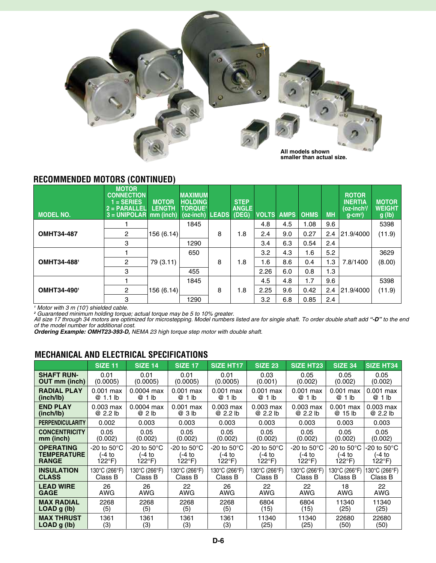

## **recommended Motors (continued)**

| <b>MODEL NO.</b>  | <b>MOTOR</b><br><b>CONNECTION</b><br>$1 = SERIES$<br>2 = PARAL <u>LEL</u><br>$3 = UNIPOLAR$ | <b>MOTOR</b><br><b>LENGTH</b><br>mm (inch) | <b>MAXIMUM</b><br><b>HOLDING</b><br><b>TORQUE<sup>2</sup></b><br>$(oz-inch)$ | <b>LEADS</b> | <b>STEP</b><br><b>ANGLE</b><br>(DEG) | <b>VOLTS</b> | <b>AMPS</b> | <b>OHMS</b> | <b>MH</b> | <b>ROTOR</b><br><b>INERTIA</b><br>$(oz-inch2/$<br>$q$ -cm <sup>2</sup> ) | <b>MOTOR</b><br><b>WEIGHT</b><br>g(h) |
|-------------------|---------------------------------------------------------------------------------------------|--------------------------------------------|------------------------------------------------------------------------------|--------------|--------------------------------------|--------------|-------------|-------------|-----------|--------------------------------------------------------------------------|---------------------------------------|
|                   |                                                                                             |                                            | 1845                                                                         |              |                                      | 4.8          | 4.5         | 1.08        | 9.6       |                                                                          | 5398                                  |
| <b>OMHT34-487</b> | $\overline{2}$                                                                              | 156(6.14)                                  |                                                                              | 8            | 1.8                                  | 2.4          | 9.0         | 0.27        | 2.4       | 21.9/4000                                                                | (11.9)                                |
|                   | 3                                                                                           |                                            | 1290                                                                         |              |                                      | 3.4          | 6.3         | 0.54        | 2.4       |                                                                          |                                       |
|                   |                                                                                             |                                            | 650                                                                          |              |                                      | 3.2          | 4.3         | 1.6         | 5.2       |                                                                          | 3629                                  |
| OMHT34-4881       | $\overline{c}$                                                                              | 79 (3.11)                                  |                                                                              | 8            | 1.8                                  | 1.6          | 8.6         | 0.4         | 1.3       | 7.8/1400                                                                 | (8.00)                                |
|                   | 3                                                                                           |                                            | 455                                                                          |              |                                      | 2.26         | 6.0         | 0.8         | 1.3       |                                                                          |                                       |
|                   |                                                                                             |                                            | 1845                                                                         |              |                                      | 4.5          | 4.8         | 1.7         | 9.6       |                                                                          | 5398                                  |
| OMHT34-4901       | $\overline{2}$                                                                              | 156(6.14)                                  |                                                                              | 8            | 1.8                                  | 2.25         | 9.6         | 0.42        | 2.4       | 21.9/4000                                                                | (11.9)                                |
|                   | 3                                                                                           |                                            | 1290                                                                         |              |                                      | 3.2          | 6.8         | 0.85        | 2.4       |                                                                          |                                       |

' Motor with 3 m (10') shielded cable.<br>ª Guaranteed minimum holding torque; actual torque may be 5 to 10% greater.<br>All size 17 through 34 motors are optimized for microstepping. Model numbers listed are for single shaft. *of the model number for additional cost.*

*Ordering Example: OMHT23-393-D, NEMA 23 high torque step motor with double shaft.*

# **Mechanical and electrical specifications**

|                                 | <b>SIZE 11</b>          | <b>SIZE 14</b>         | <b>SIZE 17</b>                 | <b>SIZE HT17</b>         | <b>SIZE 23</b>         | <b>SIZE HT23</b>       | <b>SIZE 34</b>           | <b>SIZE HT34</b>         |
|---------------------------------|-------------------------|------------------------|--------------------------------|--------------------------|------------------------|------------------------|--------------------------|--------------------------|
| <b>SHAFT RUN-</b>               | 0.01                    | 0.01                   | 0.01                           | 0.01                     | 0.03                   | 0.05                   | 0.05                     | 0.05                     |
| OUT mm (inch)                   | (0.0005)                | (0.0005)               | (0.0005)                       | (0.0005)                 | (0.001)                | (0.002)                | (0.002)                  | (0.002)                  |
| <b>RADIAL PLAY</b><br>(inch/lb) | $0.001$ max<br>@ 1.1 lb | $0.0004$ max<br>@ 1 lb | $0.001$ max<br>@<br>1 lb       | $0.001$ max<br>@<br>1 lb | $0.001$ max<br>@ 1 lb  | $0.001$ max<br>@ 1 lb  | $0.001$ max<br>@<br>1 lb | $0.001$ max<br>@<br>1 lb |
| <b>END PLAY</b>                 | $0.003$ max             | $0.0004$ max           | $0.001$ max                    | $0.003$ max              | $0.003$ max            | $0.003$ max            | $0.001$ max              | $0.003$ max              |
| (inch/lb)                       | @ 2.2 lb                | @ 2 lb                 | @ 3 lb                         | @ 2.2 lb                 | @ 2.2 lb               | @ 2.2 lb               | @ 15 lb                  | @ 2.2 lb                 |
| <b>PERPENDICULARITY</b>         | 0.002                   | 0.003                  | 0.003                          | 0.003                    | 0.003                  | 0.003                  | 0.003                    | 0.003                    |
| <b>CONCENTRICITY</b>            | 0.05                    | 0.05                   | 0.05                           | 0.05                     | 0.05                   | 0.05                   | 0.05                     | 0.05                     |
| mm (inch)                       | (0.002)                 | (0.002)                | (0.002)                        | (0.002)                  | (0.002)                | (0.002)                | (0.002)                  | (0.002)                  |
| <b>OPERATING</b>                | -20 to $50^{\circ}$ C   | -20 to $50^{\circ}$ C  | -20 to 50 $\mathrm{^{\circ}C}$ | -20 to 50°C              | -20 to 50 $^{\circ}$ C | -20 to 50 $^{\circ}$ C | -20 to 50 $^{\circ}$ C   | -20 to 50°C              |
| <b>TEMPERATURE</b>              | (-4 to                  | (-4 to                 | (−4 to                         | (-4 to                   | (-4 to                 | (-4 to                 | (-4 to                   | ′-4 to                   |
| <b>RANGE</b>                    | 122°F)                  | $122^{\circ}F$         | 122°F)                         | 122°F)                   | 122°F)                 | 122°F)                 | 122°F)                   | $122^{\circ}F$           |
| <b>INSULATION</b>               | 130°C (266°F)           | 130°C (266°F)          | 130°C (266°F)                  | 130°C (266°F)            | 130°C (266°F)          | 130°C (266°F)          | 130°C (266°F)            | 130°C (266°F)            |
| <b>CLASS</b>                    | Class B                 | Class B                | Class B                        | Class B                  | Class B                | Class B                | Class B                  | Class B                  |
| <b>LEAD WIRE</b>                | 26                      | 26                     | 22                             | 26                       | 22                     | 22                     | 18                       | 22                       |
| <b>GAGE</b>                     | AWG                     | <b>AWG</b>             | AWG                            | AWG                      | <b>AWG</b>             | AWG                    | AWG                      | <b>AWG</b>               |
| <b>MAX RADIAL</b>               | 2268                    | 2268                   | 2268                           | 2268                     | 6804                   | 6804                   | 11340                    | 11340                    |
| LOAD g (lb)                     | (5)                     | (5)                    | (5)                            | (5)                      | (15)                   | (15)                   | (25)                     | (25)                     |
| <b>MAX THRUST</b>               | 1361                    | 1361                   | 1361                           | 1361                     | 11340                  | 11340                  | 22680                    | 22680                    |
| $LOAD$ g (lb)                   | (3)                     | (3)                    | (3)                            | (3)                      | (25)                   | (25)                   | (50)                     | (50)                     |